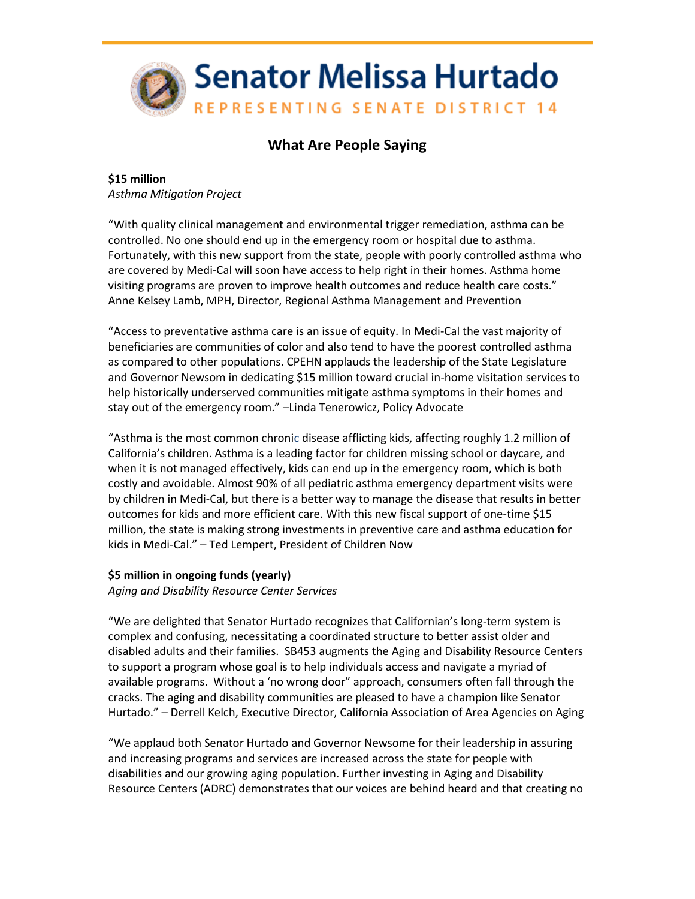

## **What Are People Saying**

**\$15 million**  *Asthma Mitigation Project*

"With quality clinical management and environmental trigger remediation, asthma can be controlled. No one should end up in the emergency room or hospital due to asthma. Fortunately, with this new support from the state, people with poorly controlled asthma who are covered by Medi-Cal will soon have access to help right in their homes. Asthma home visiting programs are proven to improve health outcomes and reduce health care costs." Anne Kelsey Lamb, MPH, Director, Regional Asthma Management and Prevention

"Access to preventative asthma care is an issue of equity. In Medi-Cal the vast majority of beneficiaries are communities of color and also tend to have the poorest controlled asthma as compared to other populations. CPEHN applauds the leadership of the State Legislature and Governor Newsom in dedicating \$15 million toward crucial in-home visitation services to help historically underserved communities mitigate asthma symptoms in their homes and stay out of the emergency room." –Linda Tenerowicz, Policy Advocate

"Asthma is the most common chronic disease afflicting kids, affecting roughly 1.2 million of California's children. Asthma is a leading factor for children missing school or daycare, and when it is not managed effectively, kids can end up in the emergency room, which is both costly and avoidable. Almost 90% of all pediatric asthma emergency department visits were by children in Medi-Cal, but there is a better way to manage the disease that results in better outcomes for kids and more efficient care. With this new fiscal support of one-time \$15 million, the state is making strong investments in preventive care and asthma education for kids in Medi-Cal." – Ted Lempert, President of Children Now

## **\$5 million in ongoing funds (yearly)**

*Aging and Disability Resource Center Services*

"We are delighted that Senator Hurtado recognizes that Californian's long-term system is complex and confusing, necessitating a coordinated structure to better assist older and disabled adults and their families. SB453 augments the Aging and Disability Resource Centers to support a program whose goal is to help individuals access and navigate a myriad of available programs. Without a 'no wrong door" approach, consumers often fall through the cracks. The aging and disability communities are pleased to have a champion like Senator Hurtado." – Derrell Kelch, Executive Director, California Association of Area Agencies on Aging

"We applaud both Senator Hurtado and Governor Newsome for their leadership in assuring and increasing programs and services are increased across the state for people with disabilities and our growing aging population. Further investing in Aging and Disability Resource Centers (ADRC) demonstrates that our voices are behind heard and that creating no